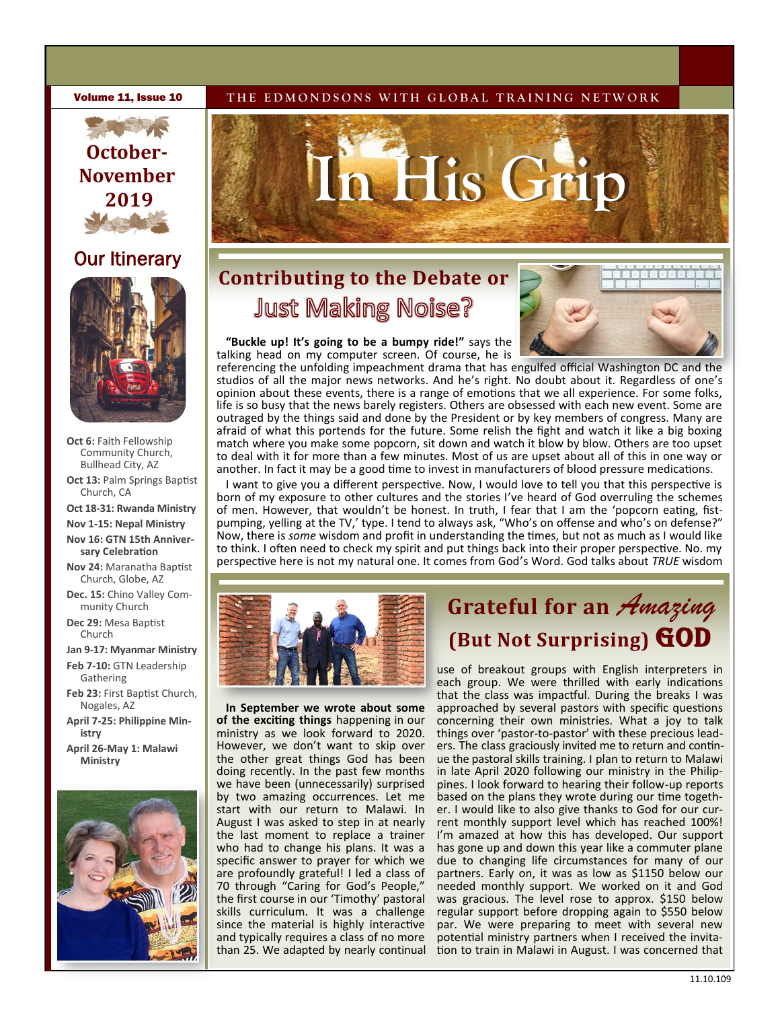# **October-November 2019**

## **Our Itinerary**



**Oct 6:** Faith Fellowship Community Church, Bullhead City, AZ

**Oct 13:** Palm Springs Baptist Church, CA

**Oct 18-31: Rwanda Ministry** 

- **Nov 1-15: Nepal Ministry**
- **Nov 16: GTN 15th Anniversary Celebration**
- **Nov 24:** Maranatha Baptist Church, Globe, AZ
- **Dec. 15:** Chino Valley Community Church
- **Dec 29:** Mesa Baptist Church

**Jan 9-17: Myanmar Ministry**

**Feb 7-10:** GTN Leadership Gathering

- **Feb 23:** First Baptist Church, Nogales, AZ
- **April 7-25: Philippine Ministry**
- **April 26-May 1: Malawi Ministry**



#### **Volume 11, Issue 10** THE EDMONDSONS WITH GLOBAL TRAINING NETWORK



## **Contributing to the Debate or Just Making Noise?**



**"Buckle up! It's going to be a bumpy ride!"** says the talking head on my computer screen. Of course, he is

referencing the unfolding impeachment drama that has engulfed official Washington DC and the studios of all the major news networks. And he's right. No doubt about it. Regardless of one's opinion about these events, there is a range of emotions that we all experience. For some folks, life is so busy that the news barely registers. Others are obsessed with each new event. Some are outraged by the things said and done by the President or by key members of congress. Many are afraid of what this portends for the future. Some relish the fight and watch it like a big boxing match where you make some popcorn, sit down and watch it blow by blow. Others are too upset to deal with it for more than a few minutes. Most of us are upset about all of this in one way or another. In fact it may be a good time to invest in manufacturers of blood pressure medications.

I want to give you a different perspective. Now, I would love to tell you that this perspective is born of my exposure to other cultures and the stories I've heard of God overruling the schemes of men. However, that wouldn't be honest. In truth, I fear that I am the 'popcorn eating, fistpumping, yelling at the TV,' type. I tend to always ask, "Who's on offense and who's on defense?" Now, there is *some* wisdom and profit in understanding the times, but not as much as I would like to think. I often need to check my spirit and put things back into their proper perspective. No. my perspective here is not my natural one. It comes from God's Word. God talks about *TRUE* wisdom



**In September we wrote about some of the exciting things** happening in our ministry as we look forward to 2020. However, we don't want to skip over the other great things God has been doing recently. In the past few months we have been (unnecessarily) surprised by two amazing occurrences. Let me start with our return to Malawi. In August I was asked to step in at nearly the last moment to replace a trainer who had to change his plans. It was a specific answer to prayer for which we are profoundly grateful! I led a class of 70 through "Caring for God's People," the first course in our 'Timothy' pastoral skills curriculum. It was a challenge since the material is highly interactive and typically requires a class of no more than 25. We adapted by nearly continual

## **Grateful for an** *Amazing*  **(But Not Surprising) GOD**

use of breakout groups with English interpreters in each group. We were thrilled with early indications that the class was impactful. During the breaks I was approached by several pastors with specific questions concerning their own ministries. What a joy to talk things over 'pastor-to-pastor' with these precious leaders. The class graciously invited me to return and continue the pastoral skills training. I plan to return to Malawi in late April 2020 following our ministry in the Philippines. I look forward to hearing their follow-up reports based on the plans they wrote during our time together. I would like to also give thanks to God for our current monthly support level which has reached 100%! I'm amazed at how this has developed. Our support has gone up and down this year like a commuter plane due to changing life circumstances for many of our partners. Early on, it was as low as \$1150 below our needed monthly support. We worked on it and God was gracious. The level rose to approx. \$150 below regular support before dropping again to \$550 below par. We were preparing to meet with several new potential ministry partners when I received the invitation to train in Malawi in August. I was concerned that